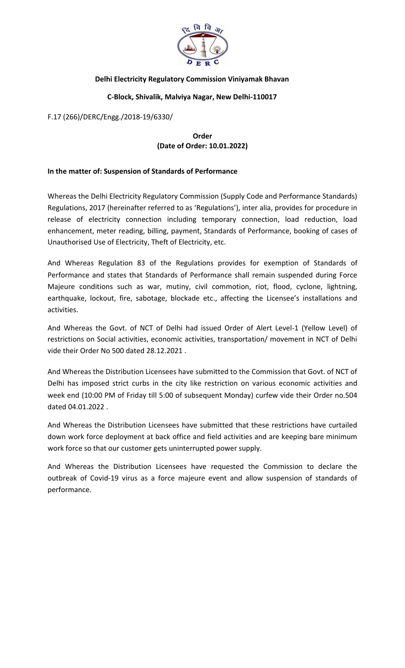

## **Delhi Electricity Regulatory Commission Viniyamak Bhavan**

## **C-Block, Shivalik, Malviya Nagar, New Delhi-110017**

F.17 (266)/DERC/Engg./2018-19/6330/

## **Order (Date of Order: 10.01.2022)**

## **In the matter of: Suspension of Standards of Performance**

Whereas the Delhi Electricity Regulatory Commission (Supply Code and Performance Standards) Regulations, 2017 (hereinafter referred to as 'Regulations'), inter alia, provides for procedure in release of electricity connection including temporary connection, load reduction, load enhancement, meter reading, billing, payment, Standards of Performance, booking of cases of Unauthorised Use of Electricity, Theft of Electricity, etc.

And Whereas Regulation 83 of the Regulations provides for exemption of Standards of Performance and states that Standards of Performance shall remain suspended during Force Majeure conditions such as war, mutiny, civil commotion, riot, flood, cyclone, lightning, earthquake, lockout, fire, sabotage, blockade etc., affecting the Licensee's installations and activities.

And Whereas the Govt. of NCT of Delhi had issued Order of Alert Level-1 (Yellow Level) of restrictions on Social activities, economic activities, transportation/ movement in NCT of Delhi vide their Order No 500 dated 28.12.2021 .

And Whereas the Distribution Licensees have submitted to the Commission that Govt. of NCT of Delhi has imposed strict curbs in the city like restriction on various economic activities and week end (10:00 PM of Friday till 5:00 of subsequent Monday) curfew vide their Order no.504 dated 04.01.2022 .

And Whereas the Distribution Licensees have submitted that these restrictions have curtailed down work force deployment at back office and field activities and are keeping bare minimum work force so that our customer gets uninterrupted power supply.

And Whereas the Distribution Licensees have requested the Commission to declare the outbreak of Covid-19 virus as a force majeure event and allow suspension of standards of performance.